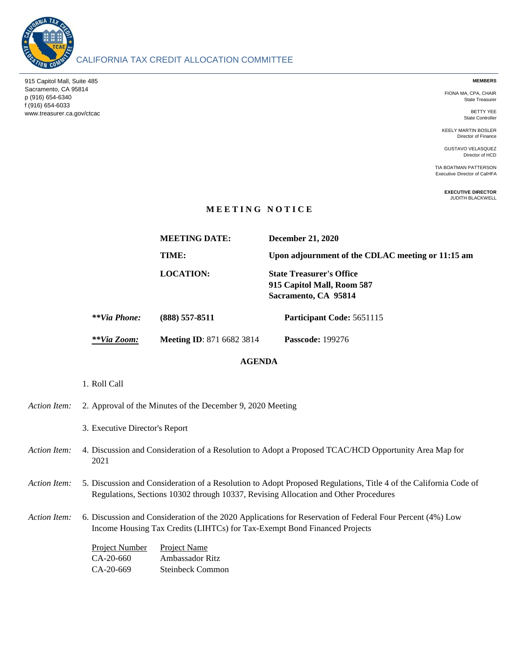

915 Capitol Mall, Suite 485 Sacramento, CA 95814 p (916) 654-6340 f (916) 654-6033 www.treasurer.ca.gov/ctcac

## CALIFORNIA TAX CREDIT ALLOCATION COMMITTEE

**MEMBERS**

FIONA MA, CPA, CHAIR State Treasurer

> BETTY YEE State Controller

KEELY MARTIN BOSLER Director of Finance

GUSTAVO VELASQUEZ Director of HCD

TIA BOATMAN PATTERSON Executive Director of CalHFA

> **EXECUTIVE DIRECTOR** JUDITH BLACKWELL

## **M E E T I N G N O T I C E**

|              | <b>MEETING DATE:</b>             | <b>December 21, 2020</b>                                                              |
|--------------|----------------------------------|---------------------------------------------------------------------------------------|
|              | TIME:                            | Upon adjournment of the CDLAC meeting or 11:15 am                                     |
|              | <b>LOCATION:</b>                 | <b>State Treasurer's Office</b><br>915 Capitol Mall, Room 587<br>Sacramento, CA 95814 |
| **Via Phone: | $(888)$ 557-8511                 | Participant Code: 5651115                                                             |
| **Via Zoom:  | <b>Meeting ID: 871 6682 3814</b> | <b>Passcode: 199276</b>                                                               |
|              |                                  |                                                                                       |

## **AGENDA**

1. Roll Call

| Action Item: | 2. Approval of the Minutes of the December 9, 2020 Meeting                                                                                                                                              |                                                                                                                                                                                        |  |
|--------------|---------------------------------------------------------------------------------------------------------------------------------------------------------------------------------------------------------|----------------------------------------------------------------------------------------------------------------------------------------------------------------------------------------|--|
|              | 3. Executive Director's Report                                                                                                                                                                          |                                                                                                                                                                                        |  |
| Action Item: | 4. Discussion and Consideration of a Resolution to Adopt a Proposed TCAC/HCD Opportunity Area Map for<br>2021                                                                                           |                                                                                                                                                                                        |  |
| Action Item: | 5. Discussion and Consideration of a Resolution to Adopt Proposed Regulations, Title 4 of the California Code of<br>Regulations, Sections 10302 through 10337, Revising Allocation and Other Procedures |                                                                                                                                                                                        |  |
| Action Item: |                                                                                                                                                                                                         | 6. Discussion and Consideration of the 2020 Applications for Reservation of Federal Four Percent (4%) Low<br>Income Housing Tax Credits (LIHTCs) for Tax-Exempt Bond Financed Projects |  |
|              | Project Number<br>CA-20-660<br>CA-20-669                                                                                                                                                                | <b>Project Name</b><br>Ambassador Ritz<br><b>Steinbeck Common</b>                                                                                                                      |  |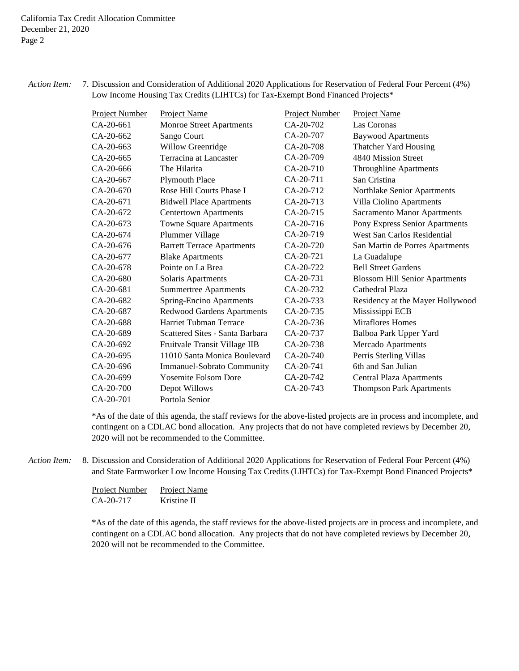*Action Item:* 7. Discussion and Consideration of Additional 2020 Applications for Reservation of Federal Four Percent (4%) Low Income Housing Tax Credits (LIHTCs) for Tax-Exempt Bond Financed Projects\*

| <b>Project Number</b> | Project Name                      | <b>Project Number</b> | Project Name                          |
|-----------------------|-----------------------------------|-----------------------|---------------------------------------|
| $CA-20-661$           | Monroe Street Apartments          | $CA-20-702$           | Las Coronas                           |
| CA-20-662             | Sango Court                       | CA-20-707             | <b>Baywood Apartments</b>             |
| CA-20-663             | Willow Greenridge                 | CA-20-708             | Thatcher Yard Housing                 |
| CA-20-665             | Terracina at Lancaster            | CA-20-709             | 4840 Mission Street                   |
| CA-20-666             | The Hilarita                      | CA-20-710             | Throughline Apartments                |
| CA-20-667             | <b>Plymouth Place</b>             | $CA-20-711$           | San Cristina                          |
| CA-20-670             | Rose Hill Courts Phase I          | CA-20-712             | Northlake Senior Apartments           |
| CA-20-671             | <b>Bidwell Place Apartments</b>   | CA-20-713             | Villa Ciolino Apartments              |
| CA-20-672             | <b>Centertown Apartments</b>      | CA-20-715             | <b>Sacramento Manor Apartments</b>    |
| CA-20-673             | <b>Towne Square Apartments</b>    | CA-20-716             | Pony Express Senior Apartments        |
| $CA-20-674$           | Plummer Village                   | CA-20-719             | West San Carlos Residential           |
| CA-20-676             | <b>Barrett Terrace Apartments</b> | CA-20-720             | San Martin de Porres Apartments       |
| CA-20-677             | <b>Blake Apartments</b>           | CA-20-721             | La Guadalupe                          |
| CA-20-678             | Pointe on La Brea                 | CA-20-722             | <b>Bell Street Gardens</b>            |
| CA-20-680             | Solaris Apartments                | CA-20-731             | <b>Blossom Hill Senior Apartments</b> |
| CA-20-681             | <b>Summertree Apartments</b>      | CA-20-732             | Cathedral Plaza                       |
| $CA-20-682$           | <b>Spring-Encino Apartments</b>   | CA-20-733             | Residency at the Mayer Hollywood      |
| CA-20-687             | Redwood Gardens Apartments        | CA-20-735             | Mississippi ECB                       |
| CA-20-688             | Harriet Tubman Terrace            | CA-20-736             | <b>Miraflores Homes</b>               |
| CA-20-689             | Scattered Sites - Santa Barbara   | CA-20-737             | Balboa Park Upper Yard                |
| CA-20-692             | Fruitvale Transit Village IIB     | CA-20-738             | Mercado Apartments                    |
| CA-20-695             | 11010 Santa Monica Boulevard      | $CA-20-740$           | Perris Sterling Villas                |
| CA-20-696             | <b>Immanuel-Sobrato Community</b> | CA-20-741             | 6th and San Julian                    |
| CA-20-699             | <b>Yosemite Folsom Dore</b>       | CA-20-742             | <b>Central Plaza Apartments</b>       |
| CA-20-700             | Depot Willows                     | CA-20-743             | <b>Thompson Park Apartments</b>       |
| CA-20-701             | Portola Senior                    |                       |                                       |

\*As of the date of this agenda, the staff reviews for the above-listed projects are in process and incomplete, and contingent on a CDLAC bond allocation. Any projects that do not have completed reviews by December 20, 2020 will not be recommended to the Committee.

Action Item: Discussion and Consideration of Additional 2020 Applications for Reservation of Federal Four Percent (4%) and State Farmworker Low Income Housing Tax Credits (LIHTCs) for Tax-Exempt Bond Financed Projects\*

| Project Number | Project Name |
|----------------|--------------|
| CA-20-717      | Kristine II  |

\*As of the date of this agenda, the staff reviews for the above-listed projects are in process and incomplete, and contingent on a CDLAC bond allocation. Any projects that do not have completed reviews by December 20, 2020 will not be recommended to the Committee.